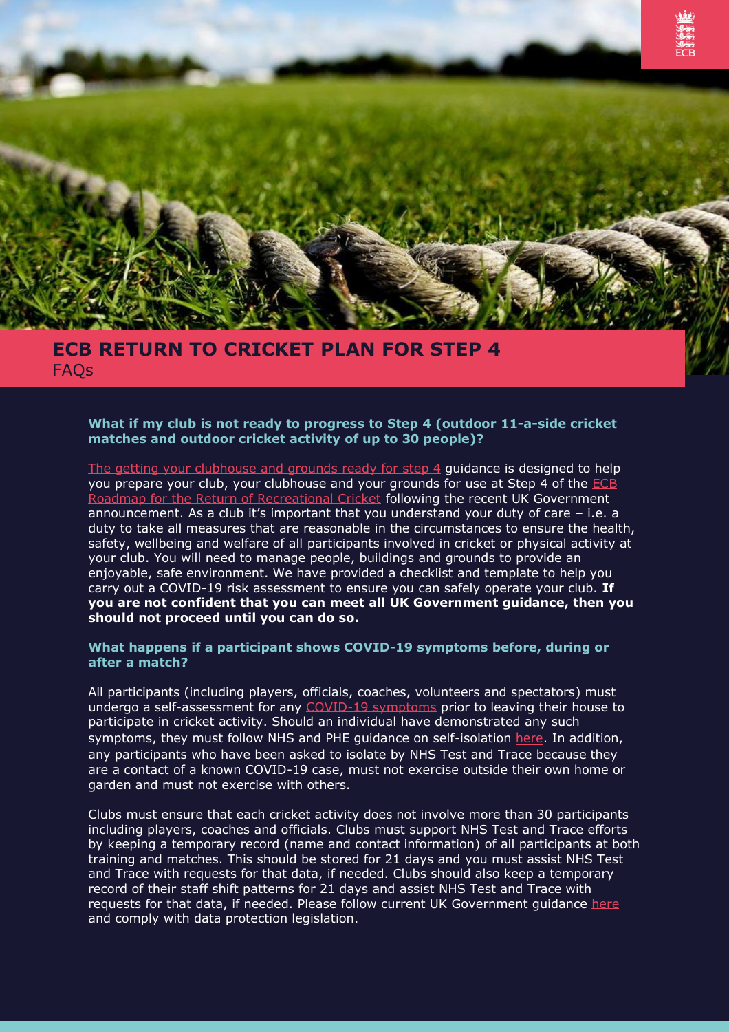

# **ECB RETURN TO CRICKET PLAN FOR STEP 4 FAOs**

# **What if my club is not ready to progress to Step 4 (outdoor 11-a-side cricket matches and outdoor cricket activity of up to 30 people)?**

The [getting your clubhouse and grounds ready for step 4](https://i.emlfiles4.com/cmpdoc/0/8/7/0/3/1/files/88555_getting-your-clubhouse-ready-for-opening.pdf) guidance is designed to help you prepare your club, your clubhouse and your grounds for use at Step 4 of the [ECB](https://i.emlfiles4.com/cmpdoc/6/4/1/7/6/files/672230_ecb00624_recreational-roadmap_v5.pdf)  [Roadmap for the Return of Recreational Cricket](https://i.emlfiles4.com/cmpdoc/6/4/1/7/6/files/672230_ecb00624_recreational-roadmap_v5.pdf) following the recent UK Government announcement. As a club it's important that you understand your duty of care – i.e. a duty to take all measures that are reasonable in the circumstances to ensure the health, safety, wellbeing and welfare of all participants involved in cricket or physical activity at your club. You will need to manage people, buildings and grounds to provide an enjoyable, safe environment. We have provided a checklist and template to help you carry out a COVID-19 risk assessment to ensure you can safely operate your club. **If you are not confident that you can meet all UK Government guidance, then you should not proceed until you can do so.**

#### **What happens if a participant shows COVID-19 symptoms before, during or after a match?**

All participants (including players, officials, coaches, volunteers and spectators) must undergo a self-assessment for any [COVID-19 symptoms](https://www.nhs.uk/conditions/coronavirus-covid-19/symptoms/) prior to leaving their house to participate in cricket activity. Should an individual have demonstrated any such symptoms, they must follow NHS and PHE guidance on self-isolation [here](https://www.nhs.uk/conditions/coronavirus-covid-19/symptoms/). In addition, any participants who have been asked to isolate by NHS Test and Trace because they are a contact of a known COVID-19 case, must not exercise outside their own home or garden and must not exercise with others.

Clubs must ensure that each cricket activity does not involve more than 30 participants including players, coaches and officials. Clubs must support NHS Test and Trace efforts by keeping a temporary record (name and contact information) of all participants at both training and matches. This should be stored for 21 days and you must assist NHS Test and Trace with requests for that data, if needed. Clubs should also keep a temporary record of their staff shift patterns for 21 days and assist NHS Test and Trace with requests for that data, if needed. Please follow current UK Government quidance [here](https://www.gov.uk/guidance/nhs-test-and-trace-how-it-works) and comply with data protection legislation.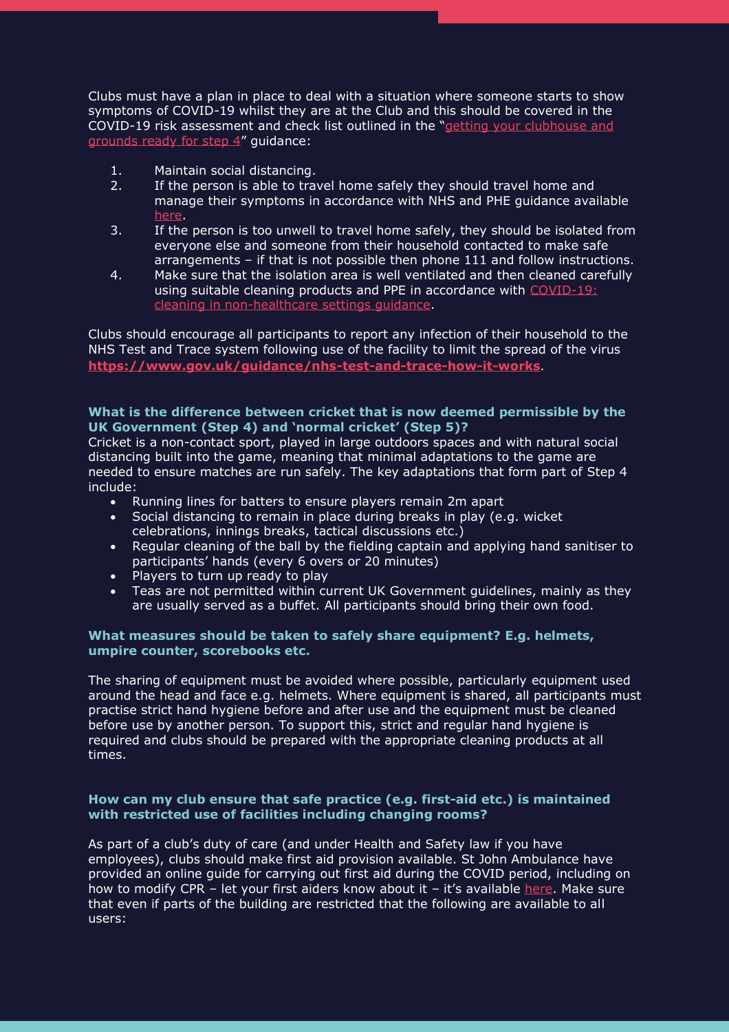Clubs must have a plan in place to deal with a situation where someone starts to show symptoms of COVID-19 whilst they are at the Club and this should be covered in the COVID-19 risk assessment and check list outlined in the "[getting your clubhouse and](https://i.emlfiles4.com/cmpdoc/0/8/7/0/3/1/files/88555_getting-your-clubhouse-ready-for-opening.pdf)  [grounds ready for step 4](https://i.emlfiles4.com/cmpdoc/0/8/7/0/3/1/files/88555_getting-your-clubhouse-ready-for-opening.pdf)" guidance:

- 1. Maintain social distancing.
- 2. If the person is able to travel home safely they should travel home and manage their symptoms in accordance with NHS and PHE guidance available [here.](https://www.nhs.uk/conditions/coronavirus-covid-19/symptoms/)
- 3. If the person is too unwell to travel home safely, they should be isolated from everyone else and someone from their household contacted to make safe arrangements – if that is not possible then phone 111 and follow instructions.
- 4. Make sure that the isolation area is well ventilated and then cleaned carefully using suitable cleaning products and PPE in accordance with [COVID-19:](https://www.gov.uk/government/publications/covid-19-decontamination-in-non-healthcare-settings/covid-19-decontamination-in-non-healthcare-settings) [cleaning in non-healthcare settings guidance.](https://www.gov.uk/government/publications/covid-19-decontamination-in-non-healthcare-settings/covid-19-decontamination-in-non-healthcare-settings)

Clubs should encourage all participants to report any infection of their household to the NHS Test and Trace system following use of the facility to limit the spread of the virus **<https://www.gov.uk/guidance/nhs-test-and-trace-how-it-works>**.

# **What is the difference between cricket that is now deemed permissible by the UK Government (Step 4) and 'normal cricket' (Step 5)?**

Cricket is a non-contact sport, played in large outdoors spaces and with natural social distancing built into the game, meaning that minimal adaptations to the game are needed to ensure matches are run safely. The key adaptations that form part of Step 4 include:

- Running lines for batters to ensure players remain 2m apart
- Social distancing to remain in place during breaks in play (e.g. wicket celebrations, innings breaks, tactical discussions etc.)
- Regular cleaning of the ball by the fielding captain and applying hand sanitiser to participants' hands (every 6 overs or 20 minutes)
- Players to turn up ready to play
- Teas are not permitted within current UK Government guidelines, mainly as they are usually served as a buffet. All participants should bring their own food.

# **What measures should be taken to safely share equipment? E.g. helmets, umpire counter, scorebooks etc.**

The sharing of equipment must be avoided where possible, particularly equipment used around the head and face e.g. helmets. Where equipment is shared, all participants must practise strict hand hygiene before and after use and the equipment must be cleaned before use by another person. To support this, strict and regular hand hygiene is required and clubs should be prepared with the appropriate cleaning products at all times.

# **How can my club ensure that safe practice (e.g. first-aid etc.) is maintained with restricted use of facilities including changing rooms?**

As part of a club's duty of care (and under Health and Safety law if you have employees), clubs should make first aid provision available. St John Ambulance have provided an online guide for carrying out first aid during the COVID period, including on how to modify CPR – let your first aiders know about it – it's available [here.](https://www.sja.org.uk/get-advice/first-aid-advice/covid-19-advice-for-first-aiders/) Make sure that even if parts of the building are restricted that the following are available to all users: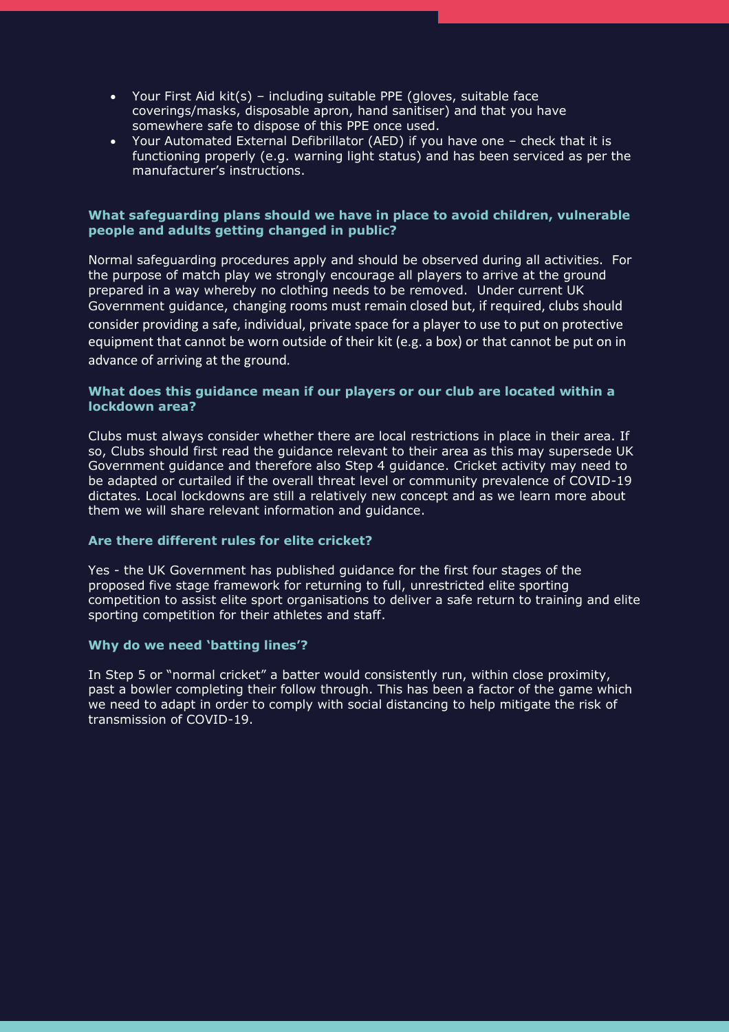- Your First Aid kit(s) including suitable PPE (gloves, suitable face coverings/masks, disposable apron, hand sanitiser) and that you have somewhere safe to dispose of this PPE once used.
- Your Automated External Defibrillator (AED) if you have one check that it is functioning properly (e.g. warning light status) and has been serviced as per the manufacturer's instructions.

# **What safeguarding plans should we have in place to avoid children, vulnerable people and adults getting changed in public?**

Normal safeguarding procedures apply and should be observed during all activities. For the purpose of match play we strongly encourage all players to arrive at the ground prepared in a way whereby no clothing needs to be removed. Under current UK Government guidance, changing rooms must remain closed but, if required, clubs should consider providing a safe, individual, private space for a player to use to put on protective equipment that cannot be worn outside of their kit (e.g. a box) or that cannot be put on in advance of arriving at the ground*.*

# **What does this guidance mean if our players or our club are located within a lockdown area?**

Clubs must always consider whether there are local restrictions in place in their area. If so, Clubs should first read the guidance relevant to their area as this may supersede UK Government guidance and therefore also Step 4 guidance. Cricket activity may need to be adapted or curtailed if the overall threat level or community prevalence of COVID-19 dictates. Local lockdowns are still a relatively new concept and as we learn more about them we will share relevant information and guidance.

# **Are there different rules for elite cricket?**

Yes - the UK Government has published guidance for the first four stages of the proposed five stage framework for returning to full, unrestricted elite sporting competition to assist elite sport organisations to deliver a safe return to training and elite sporting competition for their athletes and staff.

# **Why do we need 'batting lines'?**

In Step 5 or "normal cricket" a batter would consistently run, within close proximity, past a bowler completing their follow through. This has been a factor of the game which we need to adapt in order to comply with social distancing to help mitigate the risk of transmission of COVID-19.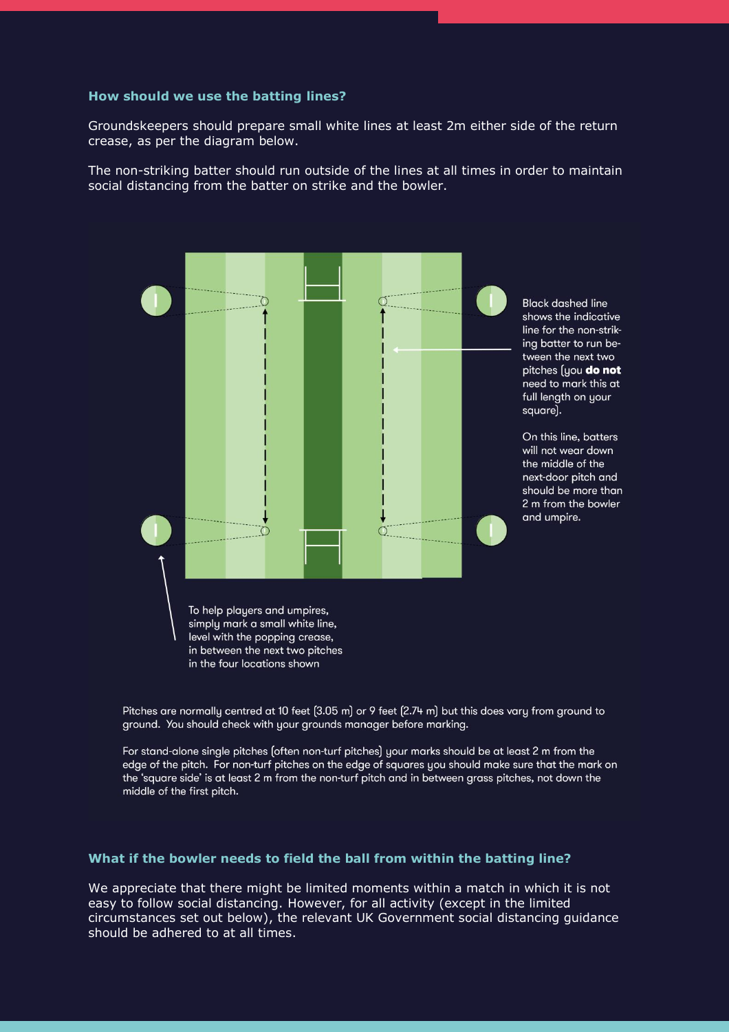#### **How should we use the batting lines?**

Groundskeepers should prepare small white lines at least 2m either side of the return crease, as per the diagram below.

The non-striking batter should run outside of the lines at all times in order to maintain social distancing from the batter on strike and the bowler.



Pitches are normally centred at 10 feet (3.05 m) or 9 feet (2.74 m) but this does vary from ground to ground. You should check with your grounds manager before marking.

For stand-alone single pitches (often non-turf pitches) your marks should be at least 2 m from the edge of the pitch. For non-turf pitches on the edge of squares you should make sure that the mark on the 'square side' is at least 2 m from the non-turf pitch and in between grass pitches, not down the middle of the first pitch.

#### **What if the bowler needs to field the ball from within the batting line?**

We appreciate that there might be limited moments within a match in which it is not easy to follow social distancing. However, for all activity (except in the limited circumstances set out below), the relevant UK Government social distancing guidance should be adhered to at all times.